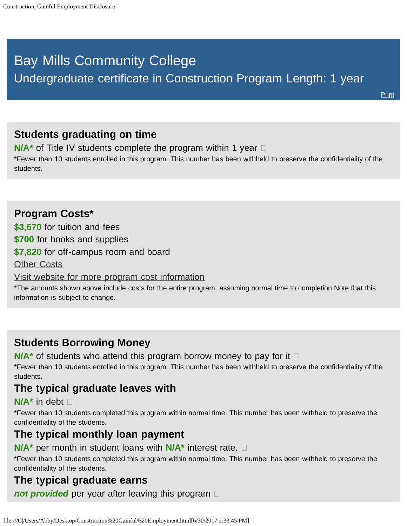# <span id="page-0-0"></span>Bay Mills Community College

Undergraduate certificate in Construction Program Length: 1 year

## **Students graduating on time**

**N/A<sup>\*</sup>** of Title IV students complete the program within 1 year  $\Box$ 

\*Fewer than 10 students enrolled in this program. This number has been withheld to preserve the confidentiality of the students.

## **Program Costs\* \$3,670** for tuition and fees **\$700** for books and supplies **\$7,820** for off-campus room and board [Other Costs](#page-0-0) [Visit website for more program cost information](http://bmcc.edu/admissions/financial-aid/understanding-tuition)

\*The amounts shown above include costs for the entire program, assuming normal time to completion.Note that this information is subject to change.

# **Students Borrowing Money**

**N/A<sup>\*</sup>** of students who attend this program borrow money to pay for it  $\Box$ 

\*Fewer than 10 students enrolled in this program. This number has been withheld to preserve the confidentiality of the students.

## **The typical graduate leaves with**

#### **N/A\*** in debt

\*Fewer than 10 students completed this program within normal time. This number has been withheld to preserve the confidentiality of the students.

#### **The typical monthly loan payment**

**N/A\*** per month in student loans with **N/A\*** interest rate.

\*Fewer than 10 students completed this program within normal time. This number has been withheld to preserve the confidentiality of the students.

## **The typical graduate earns**

*not provided* per year after leaving this program  $\Box$